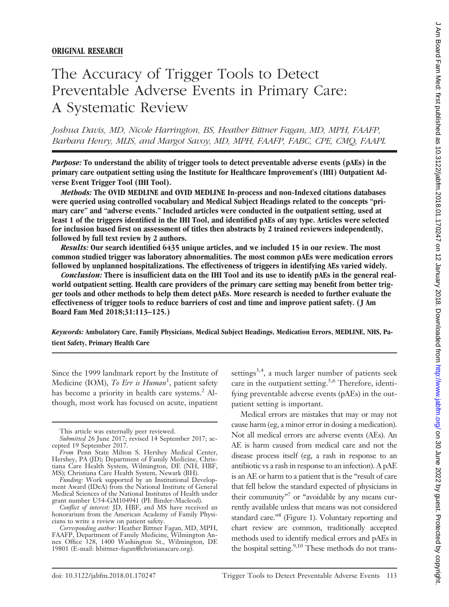# **ORIGINAL RESEARCH**

# The Accuracy of Trigger Tools to Detect Preventable Adverse Events in Primary Care: A Systematic Review

*Joshua Davis, MD, Nicole Harrington, BS, Heather Bittner Fagan, MD, MPH, FAAFP, Barbara Henry, MLIS, and Margot Savoy, MD, MPH, FAAFP, FABC, CPE, CMQ, FAAPL*

*Purpose:* **To understand the ability of trigger tools to detect preventable adverse events (pAEs) in the primary care outpatient setting using the Institute for Healthcare Improvement's (IHI) Outpatient Adverse Event Trigger Tool (IHI Tool).**

*Methods:* **The OVID MEDLINE and OVID MEDLINE In-process and non-Indexed citations databases were queried using controlled vocabulary and Medical Subject Headings related to the concepts "primary care" and "adverse events." Included articles were conducted in the outpatient setting, used at least 1 of the triggers identified in the IHI Tool, and identified pAEs of any type. Articles were selected for inclusion based first on assessment of titles then abstracts by 2 trained reviewers independently, followed by full text review by 2 authors.**

*Results:* **Our search identified 6435 unique articles, and we included 15 in our review. The most common studied trigger was laboratory abnormalities. The most common pAEs were medication errors followed by unplanned hospitalizations. The effectiveness of triggers in identifying AEs varied widely.**

*Conclusion:* **There is insufficient data on the IHI Tool and its use to identify pAEs in the general realworld outpatient setting. Health care providers of the primary care setting may benefit from better trigger tools and other methods to help them detect pAEs. More research is needed to further evaluate the effectiveness of trigger tools to reduce barriers of cost and time and improve patient safety. (J Am Board Fam Med 2018;31:113–125.)**

*Keywords:* **Ambulatory Care, Family Physicians, Medical Subject Headings, Medication Errors, MEDLINE, NHS, Patient Safety, Primary Health Care**

Since the 1999 landmark report by the Institute of Medicine (IOM), *To Err is Human*<sup>1</sup> , patient safety has become a priority in health care systems.<sup>2</sup> Although, most work has focused on acute, inpatient settings<sup>3,4</sup>, a much larger number of patients seek care in the outpatient setting.<sup>5,6</sup> Therefore, identifying preventable adverse events (pAEs) in the outpatient setting is important.

Medical errors are mistakes that may or may not cause harm (eg, a minor error in dosing a medication). Not all medical errors are adverse events (AEs). An AE is harm caused from medical care and not the disease process itself (eg, a rash in response to an antibiotic vs a rash in response to an infection). A pAE is an AE or harm to a patient that is the "result of care that fell below the standard expected of physicians in their community"<sup>7</sup> or "avoidable by any means currently available unless that means was not considered standard care."8 (Figure 1). Voluntary reporting and chart review are common, traditionally accepted methods used to identify medical errors and pAEs in the hospital setting.<sup>9,10</sup> These methods do not trans-

This article was externally peer reviewed.

*Submitted* 26 June 2017; revised 14 September 2017; accepted 19 September 2017.

*From* Penn State Milton S. Hershey Medical Center, Hershey, PA (JD); Department of Family Medicine, Christiana Care Health System, Wilmington, DE (NH, HBF, MS); Christiana Care Health System, Newark (BH).

*Funding:* Work supported by an Institutional Development Award (IDeA) from the National Institute of General Medical Sciences of the National Institutes of Health under grant number U54-GM104941 (PI: Binder-Macleod).

*Conflict of interest:* JD, HBF, and MS have received an honorarium from the American Academy of Family Physicians to write a review on patient safety.

*Corresponding author:* Heather Bittner Fagan, MD, MPH, FAAFP, Department of Family Medicine, Wilmington Annex Office 328, 1400 Washington St., Wilmington, DE 19801 (E-mail: hbittner-fagan@christianacare.org).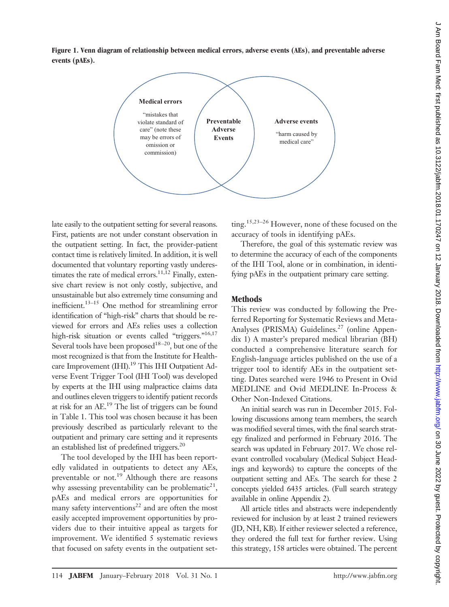**Figure 1. Venn diagram of relationship between medical errors, adverse events (AEs), and preventable adverse events (pAEs).**



late easily to the outpatient setting for several reasons. First, patients are not under constant observation in the outpatient setting. In fact, the provider-patient contact time is relatively limited. In addition, it is well documented that voluntary reporting vastly underestimates the rate of medical errors.<sup>11,12</sup> Finally, extensive chart review is not only costly, subjective, and unsustainable but also extremely time consuming and inefficient. $13-15$  One method for streamlining error identification of "high-risk" charts that should be reviewed for errors and AEs relies uses a collection high-risk situation or events called "triggers."<sup>16,17</sup> Several tools have been proposed<sup>18-20</sup>, but one of the most recognized is that from the Institute for Healthcare Improvement (IHI).<sup>19</sup> This IHI Outpatient Adverse Event Trigger Tool (IHI Tool) was developed by experts at the IHI using malpractice claims data and outlines eleven triggers to identify patient records at risk for an AE.19 The list of triggers can be found in Table 1. This tool was chosen because it has been previously described as particularly relevant to the outpatient and primary care setting and it represents an established list of predefined triggers.20

The tool developed by the IHI has been reportedly validated in outpatients to detect any AEs, preventable or not.<sup>19</sup> Although there are reasons why assessing preventability can be problematic<sup>21</sup>, pAEs and medical errors are opportunities for many safety interventions<sup>22</sup> and are often the most easily accepted improvement opportunities by providers due to their intuitive appeal as targets for improvement. We identified 5 systematic reviews that focused on safety events in the outpatient setting.15,23–26 However, none of these focused on the accuracy of tools in identifying pAEs.

Therefore, the goal of this systematic review was to determine the accuracy of each of the components of the IHI Tool, alone or in combination, in identifying pAEs in the outpatient primary care setting.

# **Methods**

This review was conducted by following the Preferred Reporting for Systematic Reviews and Meta-Analyses (PRISMA) Guidelines.<sup>27</sup> (online Appendix 1) A master's prepared medical librarian (BH) conducted a comprehensive literature search for English-language articles published on the use of a trigger tool to identify AEs in the outpatient setting. Dates searched were 1946 to Present in Ovid MEDLINE and Ovid MEDLINE In-Process & Other Non-Indexed Citations.

An initial search was run in December 2015. Following discussions among team members, the search was modified several times, with the final search strategy finalized and performed in February 2016. The search was updated in February 2017. We chose relevant controlled vocabulary (Medical Subject Headings and keywords) to capture the concepts of the outpatient setting and AEs. The search for these 2 concepts yielded 6435 articles. (Full search strategy available in online Appendix 2).

All article titles and abstracts were independently reviewed for inclusion by at least 2 trained reviewers (JD, NH, KB). If either reviewer selected a reference, they ordered the full text for further review. Using this strategy, 158 articles were obtained. The percent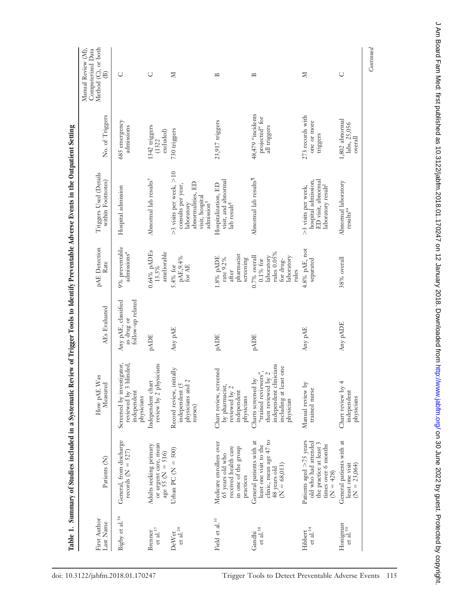|                                   |                                                                                                                    | Table 1. Summary of Studies included in a Systematic Review of Trigger Tools to Identify Preventable Adverse Events in the Outpatient Setting |                                                        |                                                                                                   |                                                                                                                               |                                                     |                                                                                            |
|-----------------------------------|--------------------------------------------------------------------------------------------------------------------|-----------------------------------------------------------------------------------------------------------------------------------------------|--------------------------------------------------------|---------------------------------------------------------------------------------------------------|-------------------------------------------------------------------------------------------------------------------------------|-----------------------------------------------------|--------------------------------------------------------------------------------------------|
| First Author<br>Last Name         | Patients <sub>(N)</sub>                                                                                            | Was<br>Measured<br>How pAE                                                                                                                    | AEs Evaluated                                          | pAE Detection<br>Rate                                                                             | Triggers Used (Details<br>within Footnotes)                                                                                   | No. of Triggers                                     | Method (C), or both<br>Manual Review (M),<br>Computerized Data<br>$\widehat{\mathfrak{B}}$ |
| Bigby et al. <sup>36</sup>        | General, from discharge<br>records ( $N = 527$ )                                                                   | Screened by investigator,<br>reviewed by 3 blinded,<br>independent<br>physicians                                                              | follow-up related<br>Any pAE, classified<br>as drug or | 9% preventable<br>admissions*                                                                     | Hospital admission                                                                                                            | 685 emergency<br>admissions                         | U                                                                                          |
| et al. $^{37}$<br>Brenner         | or urgent care, mean<br>Adults seeking primary<br>age 55 ( $N = 516$ )                                             | review by 2 physicians<br>Independent chart                                                                                                   | $\ensuremath{\mathrm{p}\Delta\mathrm{DE}}$             | $0.64\%$ pADEs<br>ameliorable<br>13.5%                                                            | Abnormal lab results <sup>†</sup>                                                                                             | 1342 triggers<br>excluded)<br>(1322)                | Ō                                                                                          |
| et al. $^{20}$<br>DeWet           | Urban PC ( $N = 500$ )                                                                                             | Record review, initially<br>physicians and 2<br>independent (5<br>nurses)                                                                     | Any pAE                                                | pAE, 9.4%<br>5.4% for<br>for $AE$                                                                 | >3 visits per week, >10<br>abnormalities, ED<br>consults per year,<br>visit, hospital<br>admission <sup>#</sup><br>laboratory | 730 triggers                                        | N                                                                                          |
| Field et al. <sup>33</sup>        | Medicare enrollees over<br>received health care<br>in one of the group<br>65 years old who<br>practices            | Chart review, screened<br>by pharmacist,<br>reviewed by 2<br>independent<br>physicians                                                        | <b>PADE</b>                                            | pharmacist<br>$1.8\%$ pADE<br>rate 9.2%<br>screening<br>after                                     | visit, and abnormal<br>Hospitalization, ED<br>lab result <sup>§</sup>                                                         | 23,917 triggers                                     | $\approx$                                                                                  |
| $\rm \, et \, al.^{38}$<br>Gandhi | clinic, mean age 47 to<br>General patients with at<br>least one visit to the<br>48 years old<br>$(N = 68,013)$     | independent clinicians<br>including at least one<br>"trained reviewers",<br>$1$ by $2$<br>Charts screened by<br>then reviewed<br>physician    | <b>PADE</b>                                            | rules 0.05%<br>laboratory<br>laboratory<br>$0.7\%$ overall<br>for drug-<br>$0.1\,\%$ for<br>rules | Abnormal lab results <sup>11</sup>                                                                                            | 48,479 "incidents<br>projected" for<br>all triggers | $\approx$                                                                                  |
| et al. $^{34}$<br>Hibbert         | Patients aged $>75$ years<br>old who had attended<br>the practice at least 3<br>times over 6 months<br>$(N = 428)$ | Manual review by<br>trained nurse                                                                                                             | Any pAE                                                | 4.8% pAE, not<br>separated                                                                        | ED visit, abnormal<br>hospital admission,<br>laboratory result <sup>  </sup><br>>3 visits per week,                           | 273 records with<br>one or more<br>triggers         | $\boxtimes$                                                                                |
| Honigman<br>et al. $39$           | General patients with at<br>least one visit<br>$(N = 23,064)$                                                      | 4<br>Chart review by<br>independent<br>physicians                                                                                             | HCAq ynA                                               | 38% overall                                                                                       | Abnormal laboratory<br>$\rm{results^{**}}$                                                                                    | 1,802 abnormal<br>labs, 25,056<br>$over all$        | $\cup$                                                                                     |
|                                   |                                                                                                                    |                                                                                                                                               |                                                        |                                                                                                   |                                                                                                                               |                                                     | Continued                                                                                  |

É É É F. Ė Ē, p ġ d ÷  $f_{\rm{C+}}$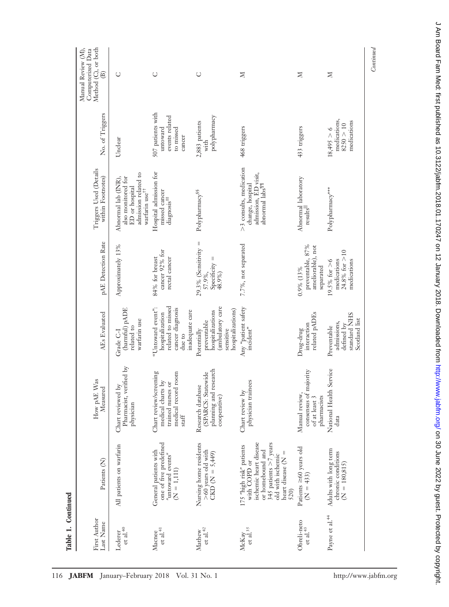| Method (C), or both<br>Manual Review (M),<br>Computerized Data<br>$\widehat{\mathfrak{B}}$ | U                                                                                                                 | O                                                                                                                    | $\cup$                                                                                               | N                                                                                                                                                                    | N                                                                       | N                                                                         | Continued |
|--------------------------------------------------------------------------------------------|-------------------------------------------------------------------------------------------------------------------|----------------------------------------------------------------------------------------------------------------------|------------------------------------------------------------------------------------------------------|----------------------------------------------------------------------------------------------------------------------------------------------------------------------|-------------------------------------------------------------------------|---------------------------------------------------------------------------|-----------|
| No. of Triggers                                                                            | Undear                                                                                                            | 507 patients with<br>events related<br>untoward<br>to missed<br>cancer                                               | polypharmacy<br>2,883 patients<br>with                                                               | 468 triggers                                                                                                                                                         | 433 triggers                                                            | medications,<br>medications<br>8250 > 10<br>18,495 > 6                    |           |
| Triggers Used (Details<br>within Footnotes)                                                | admission related to<br>also monitored for<br>Abnormal lab (INR),<br>ED or hospital<br>warfarin use <sup>††</sup> | Hospital admission for<br>missed cancer<br>diagnosis <sup>##</sup>                                                   | Polypharmacy <sup>\$\$</sup>                                                                         | >3 consults, medication<br>admission, ED visit,<br>change, hospital<br>abnormal<br>$\rm labs^{\rm T\!T}$                                                             | Abnormal laboratory<br>$_{\rm results}$                                 | Polypharmacy***                                                           |           |
| pAE Detection Rate                                                                         | Approximately 13%                                                                                                 | cancer 92% for<br>84% for breast<br>rectal cancer                                                                    | $29.3\%$ (Sensitivity =<br>$Specificity =$<br>57.9%,<br>48.9%)                                       | 7.7%, not separated                                                                                                                                                  | preventable, 87%<br>ameliorable), not<br>separated<br>0.9% (13%         | 24.8% for $>10$<br>medications<br>medications<br>$19.5\%$ for $>6$        |           |
| AEs Evaluated                                                                              | (harmful) pADE<br>warfarin use<br>related to<br>Grade C-I                                                         | related to missed<br>"Untoward event":<br>cancer diagnosis<br>inadequate care<br>hospitalization<br>due to           | (ambulatory care<br>hospitalizations)<br>hospitalizations<br>preventable<br>sensitive<br>Potentially | Any "patient safety<br>incident"                                                                                                                                     | related pADEs<br>interaction<br>Drug-drug                               | standard NHS<br>Scotland list<br>admissions,<br>defined by<br>Preventable |           |
| $\frac{r^{\mathcal{A} E}}{M \text{easured}}$<br>How pAE I                                  | hart reviewed by<br>Pharmacist, verified by<br>Chart reviewed 1<br>physician                                      | Chart review/screening<br>room<br>medical charts by<br>trained nurses or<br>medical record<br>$\operatorname{staff}$ | planning and research<br>(SPARCS: Statewide<br>Research database<br>cooperative)                     | physician trainees<br>Chart review by                                                                                                                                | consensus of majority<br>Manual review,<br>pharmacists<br>of at least 3 | Service<br>National Health<br>data                                        |           |
| Patients <sub>(N)</sub>                                                                    | All patients on warfarin                                                                                          | one of five predefined<br>General patients with<br>"untoward events"<br>$(N = 1,111)$                                | Nursing home residents<br>>60 years old with<br>CKD ( $N = 5,449$ )                                  | ischemic heart disease<br>345 patients >7 years<br>175 "high risk" patients<br>or homebound and<br>heart disease $(N =$<br>old with ischemic<br>with COPD or<br>520) | Patients $\geq 60$ years old<br>$(N = 433)$                             | Adults with long term<br>chronic conditions<br>$(N = 180, 815)$           |           |
| First Author<br>Last Name                                                                  | et al. $40$<br>Lederer                                                                                            | $\rm{et}$ al.<br><sup>41</sup><br>Macnee                                                                             | et al. $^{42}$<br>Mathew                                                                             | ${\rm et \; al.}^{35}$<br>McKay                                                                                                                                      | Obreli-neto<br>$\rm{et}$ al.<br>$^{43}$                                 | Payne et al. <sup>44</sup>                                                |           |

**Table 1. Continued**

Table 1. Continued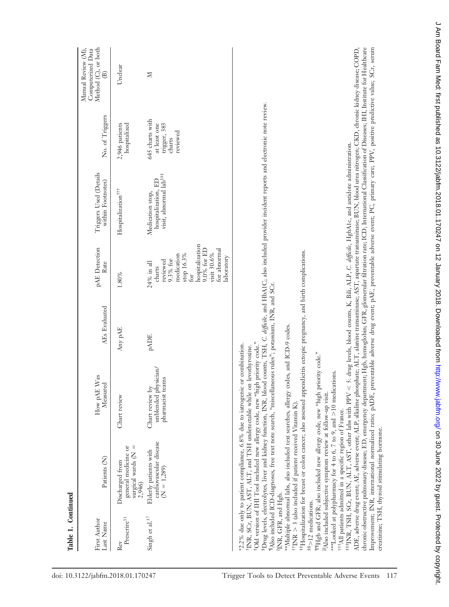| First Author<br>Last Name                            | Patients (N)                                                                                                                                                                                                                                                                                                                                                                                                                                                                                                                                                            | as<br>How pAE $W$<br>Measured                                                                                                                                                                                                                                                                                                                                                                                                                                                                                                                                                                                                                                                                                                                                                                                                                                                                                                                                                                                                                                                                                                                                                                                                                                         | AEs Evaluated | pAE Detection<br>Rate                                                                                                                                              | Triggers Used (Details<br>within Footnotes)                                                               | No. of Triggers                                                       | Method (C), or both<br>Manual Review (M),<br>Computerized Data<br>$\widehat{\mathfrak{B}}$ |
|------------------------------------------------------|-------------------------------------------------------------------------------------------------------------------------------------------------------------------------------------------------------------------------------------------------------------------------------------------------------------------------------------------------------------------------------------------------------------------------------------------------------------------------------------------------------------------------------------------------------------------------|-----------------------------------------------------------------------------------------------------------------------------------------------------------------------------------------------------------------------------------------------------------------------------------------------------------------------------------------------------------------------------------------------------------------------------------------------------------------------------------------------------------------------------------------------------------------------------------------------------------------------------------------------------------------------------------------------------------------------------------------------------------------------------------------------------------------------------------------------------------------------------------------------------------------------------------------------------------------------------------------------------------------------------------------------------------------------------------------------------------------------------------------------------------------------------------------------------------------------------------------------------------------------|---------------|--------------------------------------------------------------------------------------------------------------------------------------------------------------------|-----------------------------------------------------------------------------------------------------------|-----------------------------------------------------------------------|--------------------------------------------------------------------------------------------|
| Prescrire <sup>31</sup><br>Rev                       | surgical wards $(N =$<br>general medicine or<br>Discharged from<br>2,946)                                                                                                                                                                                                                                                                                                                                                                                                                                                                                               | Chart review                                                                                                                                                                                                                                                                                                                                                                                                                                                                                                                                                                                                                                                                                                                                                                                                                                                                                                                                                                                                                                                                                                                                                                                                                                                          | Any pAE       | 1.80%                                                                                                                                                              | Hospitalization <sup>+++</sup>                                                                            | hospitalized<br>2,946 patients                                        | Unclear                                                                                    |
| Singh et al. <sup>17</sup>                           | cardiovascular disease<br>Elderly patients with<br>$(N = 1,289)$                                                                                                                                                                                                                                                                                                                                                                                                                                                                                                        | unblended physician/<br>pharmacist teams<br>Chart review by                                                                                                                                                                                                                                                                                                                                                                                                                                                                                                                                                                                                                                                                                                                                                                                                                                                                                                                                                                                                                                                                                                                                                                                                           | <b>PADE</b>   | hospitalization<br>9.0% for ED<br>for abnormal<br>visit 30.6%<br>stop 16.3%<br>medication<br>laboratory<br>9.3% for<br>reviewed<br>24% in all<br>charts<br>.<br>Gr | visit, abnormal lab <sup>###</sup><br>hospitalization, ED<br>Medication stop,                             | 645 charts with<br>at least one<br>trigger, 383<br>reviewed<br>charts | N                                                                                          |
| INR, GFR, and Hgb.<br><sup>§§</sup> >12 medications. | ***Looked at polypharmacy for 4 to 6, 7 to 9, and >10 medications.<br><sup>‡</sup> Old version of IHI Tool included new allergy code, new "high<br><sup>§</sup> Drug levels, electrolytes, liver and kidney function, INR, blood<br><sup>t</sup> INR, SCr, BUN, AST, ALT, and TSH undetectable while on<br>"Also included subjective symptom review at follow-up visit.<br><sup>††</sup> INR > 3 (also included if patient received Vitamin K)<br><sup>t11</sup> All patients admitted in a specific region of France.<br>creatinine; TSH, thyroid stimulating hormone. | ADE, adverse drug event; AE, adverse event; ALP, alkaline phosphate; ALT, alanine transaminase; AST, aspartate transaminase; BUN, blood urea nitrogen; CKD, chronic kidney disease; COPD,<br>chronic obstructive pulmonary disease; ED, emergency department; Hgb, hemoglobin; GFR, glomerular filtration rate; ICD, International Classification of Diseases; HII, Institute for Healthcare<br>Improvement; INR, international normalized ratio; pADE, preventable adverse drug event; pAE, preventable adverse event; PC, primary care; PPV, positive predictive value; SCr, serum<br>##INR, TSH, SCr, BUN, ALT, AST, other labs with PPV < 5: drug levels, blood counts, K, Bili, ALP, C. difficile, HgbA1c, and antidote administration.<br>#Hospitalization for breast or colon cancer; also assessed appendicitis ectopic pregnancy, and birth complications.<br>"Also included ICD-diagnoses, free text note search, "miscellaneous rules"; potassium, INR, and SCr.<br>**Multiple abnormal labs, also included text searches, allergy codes, and ICD-9 codes.<br>priority code."<br>*2.2% due only to patient compliance, 6.8% due to iatrogenic or combination.<br>levothyroxine.<br>"Hgb and GFR; also included new allergy code, new "high priority code." |               |                                                                                                                                                                    | counts, TSH, C. difficile, and HbA1C, also included provider incident reports and electronic note review. |                                                                       |                                                                                            |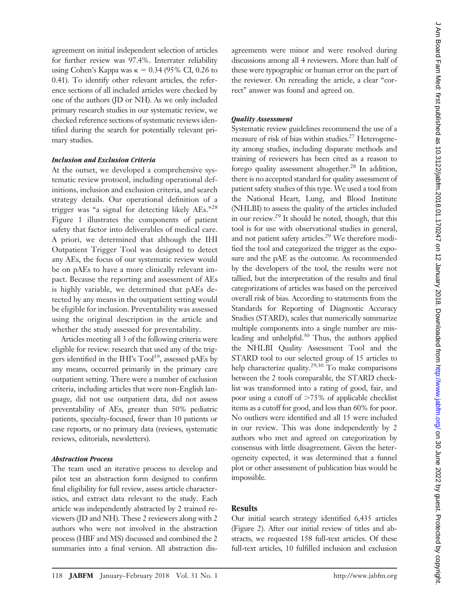agreement on initial independent selection of articles for further review was 97.4%. Interrater reliability using Cohen's Kappa was  $\kappa = 0.34$  (95% CI, 0.26 to 0.41). To identify other relevant articles, the reference sections of all included articles were checked by one of the authors (JD or NH). As we only included primary research studies in our systematic review, we checked reference sections of systematic reviews identified during the search for potentially relevant primary studies.

#### *Inclusion and Exclusion Criteria*

At the outset, we developed a comprehensive systematic review protocol, including operational definitions, inclusion and exclusion criteria, and search strategy details. Our operational definition of a trigger was "a signal for detecting likely AEs."28 Figure 1 illustrates the components of patient safety that factor into deliverables of medical care. A priori, we determined that although the IHI Outpatient Trigger Tool was designed to detect any AEs, the focus of our systematic review would be on pAEs to have a more clinically relevant impact. Because the reporting and assessment of AEs is highly variable, we determined that pAEs detected by any means in the outpatient setting would be eligible for inclusion. Preventability was assessed using the original description in the article and whether the study assessed for preventability.

Articles meeting all 3 of the following criteria were eligible for review: research that used any of the triggers identified in the IHI's Tool<sup>19</sup>, assessed pAEs by any means, occurred primarily in the primary care outpatient setting. There were a number of exclusion criteria, including articles that were non-English language, did not use outpatient data, did not assess preventability of AEs, greater than 50% pediatric patients, specialty-focused, fewer than 10 patients or case reports, or no primary data (reviews, systematic reviews, editorials, newsletters).

#### *Abstraction Process*

The team used an iterative process to develop and pilot test an abstraction form designed to confirm final eligibility for full review, assess article characteristics, and extract data relevant to the study. Each article was independently abstracted by 2 trained reviewers (JD and NH). These 2 reviewers along with 2 authors who were not involved in the abstraction process (HBF and MS) discussed and combined the 2 summaries into a final version. All abstraction dis-

agreements were minor and were resolved during discussions among all 4 reviewers. More than half of these were typographic or human error on the part of the reviewer. On rereading the article, a clear "correct" answer was found and agreed on.

#### *Quality Assessment*

Systematic review guidelines recommend the use of a measure of risk of bias within studies.<sup>27</sup> Heterogeneity among studies, including disparate methods and training of reviewers has been cited as a reason to forego quality assessment altogether.<sup>28</sup> In addition, there is no accepted standard for quality assessment of patient safety studies of this type. We used a tool from the National Heart, Lung, and Blood Institute (NHLBI) to assess the quality of the articles included in our review.29 It should be noted, though, that this tool is for use with observational studies in general, and not patient safety articles.<sup>29</sup> We therefore modified the tool and categorized the trigger as the exposure and the pAE as the outcome. As recommended by the developers of the tool, the results were not tallied, but the interpretation of the results and final categorizations of articles was based on the perceived overall risk of bias. According to statements from the Standards for Reporting of Diagnostic Accuracy Studies (STARD), scales that numerically summarize multiple components into a single number are misleading and unhelpful.<sup>30</sup> Thus, the authors applied the NHLBI Quality Assessment Tool and the STARD tool to our selected group of 15 articles to help characterize quality.<sup>29,30</sup> To make comparisons between the 2 tools comparable, the STARD checklist was transformed into a rating of good, fair, and poor using a cutoff of  $>75\%$  of applicable checklist items as a cutoff for good, and less than 60% for poor. No outliers were identified and all 15 were included in our review. This was done independently by 2 authors who met and agreed on categorization by consensus with little disagreement. Given the heterogeneity expected, it was determined that a funnel plot or other assessment of publication bias would be impossible.

# **Results**

Our initial search strategy identified 6,435 articles (Figure 2). After our initial review of titles and abstracts, we requested 158 full-text articles. Of these full-text articles, 10 fulfilled inclusion and exclusion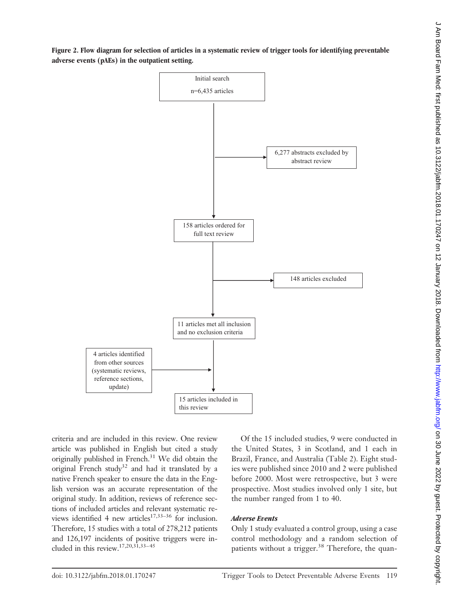

criteria and are included in this review. One review article was published in English but cited a study originally published in French.<sup>31</sup> We did obtain the original French study<sup>32</sup> and had it translated by a native French speaker to ensure the data in the English version was an accurate representation of the original study. In addition, reviews of reference sections of included articles and relevant systematic reviews identified 4 new articles<sup>17,33–36</sup> for inclusion. Therefore, 15 studies with a total of 278,212 patients and 126,197 incidents of positive triggers were included in this review.17,20,31,33–45

4 articles identified from other sources (systematic reviews, reference sections, update)

> Of the 15 included studies, 9 were conducted in the United States, 3 in Scotland, and 1 each in Brazil, France, and Australia (Table 2). Eight studies were published since 2010 and 2 were published before 2000. Most were retrospective, but 3 were prospective. Most studies involved only 1 site, but the number ranged from 1 to 40.

# *Adverse Events*

15 articles included in

this review

Only 1 study evaluated a control group, using a case control methodology and a random selection of patients without a trigger.<sup>38</sup> Therefore, the quan-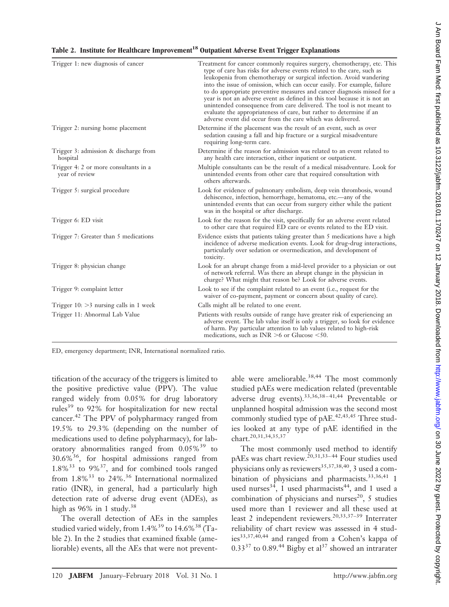| Trigger 1: new diagnosis of cancer                      | Treatment for cancer commonly requires surgery, chemotherapy, etc. This<br>type of care has risks for adverse events related to the care, such as<br>leukopenia from chemotherapy or surgical infection. Avoid wandering<br>into the issue of omission, which can occur easily. For example, failure<br>to do appropriate preventive measures and cancer diagnosis missed for a<br>year is not an adverse event as defined in this tool because it is not an<br>unintended consequence from care delivered. The tool is not meant to<br>evaluate the appropriateness of care, but rather to determine if an<br>adverse event did occur from the care which was delivered. |
|---------------------------------------------------------|---------------------------------------------------------------------------------------------------------------------------------------------------------------------------------------------------------------------------------------------------------------------------------------------------------------------------------------------------------------------------------------------------------------------------------------------------------------------------------------------------------------------------------------------------------------------------------------------------------------------------------------------------------------------------|
| Trigger 2: nursing home placement                       | Determine if the placement was the result of an event, such as over<br>sedation causing a fall and hip fracture or a surgical misadventure<br>requiring long-term care.                                                                                                                                                                                                                                                                                                                                                                                                                                                                                                   |
| Trigger 3: admission & discharge from<br>hospital       | Determine if the reason for admission was related to an event related to<br>any health care interaction, either inpatient or outpatient.                                                                                                                                                                                                                                                                                                                                                                                                                                                                                                                                  |
| Trigger 4: 2 or more consultants in a<br>year of review | Multiple consultants can be the result of a medical misadventure. Look for<br>unintended events from other care that required consultation with<br>others afterwards.                                                                                                                                                                                                                                                                                                                                                                                                                                                                                                     |
| Trigger 5: surgical procedure                           | Look for evidence of pulmonary embolism, deep vein thrombosis, wound<br>dehiscence, infection, hemorrhage, hematoma, etc.-- any of the<br>unintended events that can occur from surgery either while the patient<br>was in the hospital or after discharge.                                                                                                                                                                                                                                                                                                                                                                                                               |
| Trigger 6: ED visit                                     | Look for the reason for the visit, specifically for an adverse event related<br>to other care that required ED care or events related to the ED visit.                                                                                                                                                                                                                                                                                                                                                                                                                                                                                                                    |
| Trigger 7: Greater than 5 medications                   | Evidence exists that patients taking greater than 5 medications have a high<br>incidence of adverse medication events. Look for drug-drug interactions,<br>particularly over sedation or overmedication, and development of<br>toxicity.                                                                                                                                                                                                                                                                                                                                                                                                                                  |
| Trigger 8: physician change                             | Look for an abrupt change from a mid-level provider to a physician or out<br>of network referral. Was there an abrupt change in the physician in<br>charge? What might that reason be? Look for adverse events.                                                                                                                                                                                                                                                                                                                                                                                                                                                           |
| Trigger 9: complaint letter                             | Look to see if the complaint related to an event (i.e., request for the<br>waiver of co-payment, payment or concern about quality of care).                                                                                                                                                                                                                                                                                                                                                                                                                                                                                                                               |
| Trigger $10:$ >3 nursing calls in 1 week                | Calls might all be related to one event.                                                                                                                                                                                                                                                                                                                                                                                                                                                                                                                                                                                                                                  |
| Trigger 11: Abnormal Lab Value                          | Patients with results outside of range have greater risk of experiencing an<br>adverse event. The lab value itself is only a trigger, so look for evidence<br>of harm. Pay particular attention to lab values related to high-risk<br>medications, such as $INR > 6$ or Glucose <50.                                                                                                                                                                                                                                                                                                                                                                                      |

ED, emergency department; INR, International normalized ratio.

tification of the accuracy of the triggers is limited to the positive predictive value (PPV). The value ranged widely from 0.05% for drug laboratory rules<sup>39</sup> to 92% for hospitalization for new rectal cancer.42 The PPV of polypharmacy ranged from 19.5% to 29.3% (depending on the number of medications used to define polypharmacy), for laboratory abnormalities ranged from  $0.05\%$ <sup>39</sup> to  $30.6\%$ <sup>36</sup>, for hospital admissions ranged from  $1.8\%$ <sup>33</sup> to  $9\%$ <sup>37</sup>, and for combined tools ranged from  $1.8\%$ <sup>33</sup> to 24%.<sup>36</sup> International normalized ratio (INR), in general, had a particularly high detection rate of adverse drug event (ADEs), as high as  $96\%$  in 1 study.<sup>38</sup>

The overall detection of AEs in the samples studied varied widely, from  $1.4\%$ <sup>39</sup> to  $14.6\%$ <sup>38</sup> (Table 2). In the 2 studies that examined fixable (ameliorable) events, all the AEs that were not prevent-

able were ameliorable.<sup>38,44</sup> The most commonly studied pAEs were medication related (preventable adverse drug events).  $33,36,38-41,44$  Preventable or unplanned hospital admission was the second most commonly studied type of pAE.<sup>42,43,45</sup> Three studies looked at any type of pAE identified in the chart.20,31,34,35,37

The most commonly used method to identify pAEs was chart review.<sup>20,31,33–44</sup> Four studies used physicians only as reviewers<sup>35,37,38,40</sup>, 3 used a combination of physicians and pharmacists.<sup>33,36,41</sup> 1 used nurses<sup>34</sup>, 1 used pharmacists<sup>44</sup>, and 1 used a combination of physicians and nurses<sup>20</sup>, 5 studies used more than 1 reviewer and all these used at least 2 independent reviewers.<sup>20,33,37-39</sup> Interrater reliability of chart review was assessed in 4 stud $ies^{33,37,40,44}$  and ranged from a Cohen's kappa of  $0.33^{37}$  to  $0.89^{44}$  Bigby et al<sup>37</sup> showed an intrarater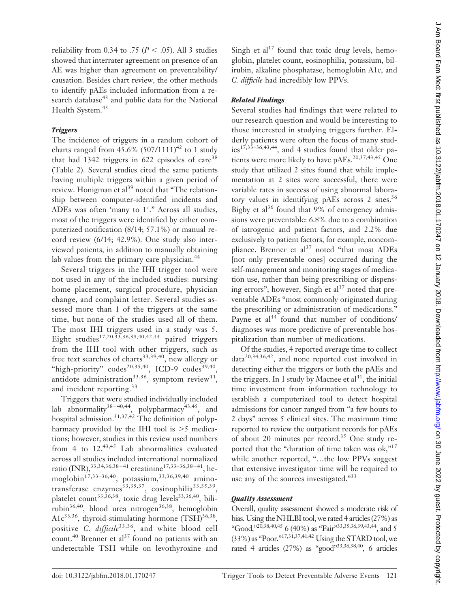reliability from 0.34 to .75 ( $P < .05$ ). All 3 studies showed that interrater agreement on presence of an AE was higher than agreement on preventability/ causation. Besides chart review, the other methods to identify pAEs included information from a research database<sup>43</sup> and public data for the National Health System.<sup>45</sup>

#### *Triggers*

The incidence of triggers in a random cohort of charts ranged from  $45.6\%$  (507/1111)<sup>42</sup> to 1 study that had 1342 triggers in 622 episodes of care<sup>38</sup> (Table 2). Several studies cited the same patients having multiple triggers within a given period of review. Honigman et al<sup>39</sup> noted that "The relationship between computer-identified incidents and ADEs was often 'many to 1'." Across all studies, most of the triggers were identified by either computerized notification (8/14; 57.1%) or manual record review (6/14; 42.9%). One study also interviewed patients, in addition to manually obtaining lab values from the primary care physician.<sup>44</sup>

Several triggers in the IHI trigger tool were not used in any of the included studies: nursing home placement, surgical procedure, physician change, and complaint letter. Several studies assessed more than 1 of the triggers at the same time, but none of the studies used all of them. The most IHI triggers used in a study was 5. Eight studies<sup>17,20,33,36,39,40,42,44</sup> paired triggers from the IHI tool with other triggers, such as free text searches of charts<sup>33,39,40</sup>, new allergy or "high-priority" codes<sup>20,35,40</sup>, ICD-9 codes<sup>39,40</sup>, antidote administration<sup>33,36</sup>, symptom review<sup>44</sup>, and incident reporting.<sup>33</sup>

Triggers that were studied individually included lab abnormality<sup>38-40,44</sup>, polypharmacy<sup>43,45</sup>, and hospital admission. $31,37,42$  The definition of polypharmacy provided by the IHI tool is  $>5$  medications; however, studies in this review used numbers from 4 to  $12^{43,45}$  Lab abnormalities evaluated across all studies included international normalized ratio (INR), 33,34,36,38-41 creatinine<sup>17,33-36,38-41</sup>, hemoglobin<sup>17,33–36,40</sup>, potassium,<sup>33,36,39,40</sup> aminotransferase enzymes<sup>33,35,37</sup>, eosinophilia<sup>33,35,39</sup>, platelet count<sup>33,36,38</sup>, toxic drug levels<sup>33,36,40</sup>, bilirubin<sup>36,40</sup>, blood urea nitrogen<sup>36,38</sup>, hemoglobin A1 $c^{33,36}$ , thyroid-stimulating hormone (TSH) $^{36,38}$ , positive *C. difficile*33,36, and white blood cell count.<sup>40</sup> Brenner et al<sup>37</sup> found no patients with an undetectable TSH while on levothyroxine and

Singh et al<sup>17</sup> found that toxic drug levels, hemoglobin, platelet count, eosinophilia, potassium, bilirubin, alkaline phosphatase, hemoglobin A1c, and *C. difficile* had incredibly low PPVs.

#### *Related Findings*

Several studies had findings that were related to our research question and would be interesting to those interested in studying triggers further. Elderly patients were often the focus of many studies<sup>17,33–36,43,44</sup>, and 4 studies found that older patients were more likely to have pAEs.<sup>20,37,43,45</sup> One study that utilized 2 sites found that while implementation at 2 sites were successful, there were variable rates in success of using abnormal laboratory values in identifying pAEs across 2 sites.<sup>36</sup> Bigby et al<sup>36</sup> found that 9% of emergency admissions were preventable: 6.8% due to a combination of iatrogenic and patient factors, and 2.2% due exclusively to patient factors, for example, noncompliance. Brenner et  $al^{37}$  noted "that most ADEs [not only preventable ones] occurred during the self-management and monitoring stages of medication use, rather than being prescribing or dispensing errors"; however, Singh et  $al<sup>17</sup>$  noted that preventable ADEs "most commonly originated during the prescribing or administration of medications." Payne et al<sup>44</sup> found that number of conditions/ diagnoses was more predictive of preventable hospitalization than number of medications.

Of the studies, 4 reported average time to collect  $data^{20,34,36,42}$ , and none reported cost involved in detecting either the triggers or both the pAEs and the triggers. In 1 study by Macnee et  $al<sup>41</sup>$ , the initial time investment from information technology to establish a computerized tool to detect hospital admissions for cancer ranged from "a few hours to 2 days" across 5 clinical sites. The maximum time reported to review the outpatient records for pAEs of about 20 minutes per record.<sup>35</sup> One study reported that the "duration of time taken was  $\alpha k$ ,"<sup>17</sup> while another reported, "...the low PPVs suggest that extensive investigator time will be required to use any of the sources investigated."<sup>33</sup>

#### *Quality Assessment*

Overall, quality assessment showed a moderate risk of bias. Using the NHLBI tool, we rated 4 articles (27%) as "Good,"<sup>20,38,40,45</sup> 6 (40%) as "Fair"<sup>33,35,36,39,43,44</sup>, and 5  $(33\%)$  as "Poor."<sup>17,31,37,41,42</sup> Using the STARD tool, we rated 4 articles  $(27%)$  as "good"<sup>33,36,38,40</sup>, 6 articles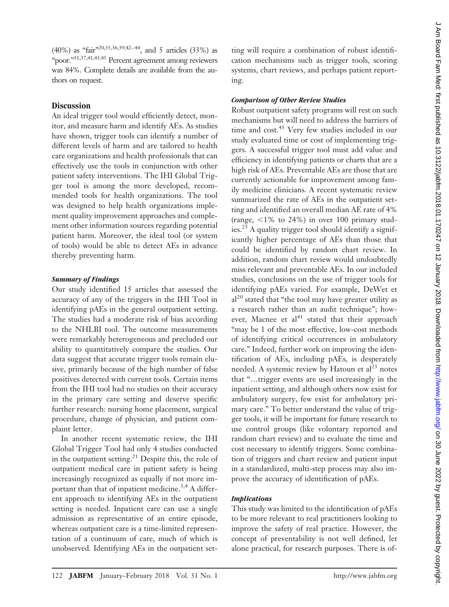(40%) as "fair"20,35,36,39,42–44, and 5 articles (33%) as "poor."31,37,41,43,45 Percent agreement among reviewers was 84%. Complete details are available from the authors on request.

# **Discussion**

An ideal trigger tool would efficiently detect, monitor, and measure harm and identify AEs. As studies have shown, trigger tools can identify a number of different levels of harm and are tailored to health care organizations and health professionals that can effectively use the tools in conjunction with other patient safety interventions. The IHI Global Trigger tool is among the more developed, recommended tools for health organizations. The tool was designed to help health organizations implement quality improvement approaches and complement other information sources regarding potential patient harm. Moreover, the ideal tool (or system of tools) would be able to detect AEs in advance thereby preventing harm.

#### *Summary of Findings*

Our study identified 15 articles that assessed the accuracy of any of the triggers in the IHI Tool in identifying pAEs in the general outpatient setting. The studies had a moderate risk of bias according to the NHLBI tool. The outcome measurements were remarkably heterogeneous and precluded our ability to quantitatively compare the studies. Our data suggest that accurate trigger tools remain elusive, primarily because of the high number of false positives detected with current tools. Certain items from the IHI tool had no studies on their accuracy in the primary care setting and deserve specific further research: nursing home placement, surgical procedure, change of physician, and patient complaint letter.

In another recent systematic review, the IHI Global Trigger Tool had only 4 studies conducted in the outpatient setting.<sup>21</sup> Despite this, the role of outpatient medical care in patient safety is being increasingly recognized as equally if not more important than that of inpatient medicine.<sup>3,4</sup> A different approach to identifying AEs in the outpatient setting is needed. Inpatient care can use a single admission as representative of an entire episode, whereas outpatient care is a time-limited representation of a continuum of care, much of which is unobserved. Identifying AEs in the outpatient set-

ting will require a combination of robust identification mechanisms such as trigger tools, scoring systems, chart reviews, and perhaps patient reporting.

#### *Comparison of Other Review Studies*

Robust outpatient safety programs will rest on such mechanisms but will need to address the barriers of time and cost.<sup>45</sup> Very few studies included in our study evaluated time or cost of implementing triggers. A successful trigger tool must add value and efficiency in identifying patients or charts that are a high risk of AEs. Preventable AEs are those that are currently actionable for improvement among family medicine clinicians. A recent systematic review summarized the rate of AEs in the outpatient setting and identified an overall median AE rate of 4% (range,  $\leq 1\%$  to 24%) in over 100 primary studies.25 A quality trigger tool should identify a significantly higher percentage of AEs than those that could be identified by random chart review. In addition, random chart review would undoubtedly miss relevant and preventable AEs. In our included studies, conclusions on the use of trigger tools for identifying pAEs varied. For example, DeWet et  $al<sup>20</sup>$  stated that "the tool may have greater utility as a research rather than an audit technique"; however, Macnee et al<sup>41</sup> stated that their approach "may be 1 of the most effective, low-cost methods of identifying critical occurrences in ambulatory care." Indeed, further work on improving the identification of AEs, including pAEs, is desperately needed. A systemic review by Hatoun et  $al<sup>23</sup>$  notes that "…trigger events are used increasingly in the inpatient setting, and although others now exist for ambulatory surgery, few exist for ambulatory primary care." To better understand the value of trigger tools, it will be important for future research to use control groups (like voluntary reported and random chart review) and to evaluate the time and cost necessary to identify triggers. Some combination of triggers and chart review and patient input in a standardized, multi-step process may also improve the accuracy of identification of pAEs.

#### *Implications*

This study was limited to the identification of pAEs to be more relevant to real practitioners looking to improve the safety of real practice. However, the concept of preventability is not well defined, let alone practical, for research purposes. There is of-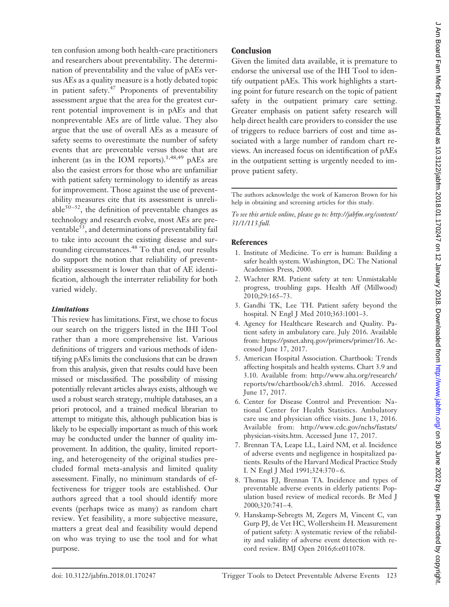ten confusion among both health-care practitioners and researchers about preventability. The determination of preventability and the value of pAEs versus AEs as a quality measure is a hotly debated topic in patient safety. $47$  Proponents of preventability assessment argue that the area for the greatest current potential improvement is in pAEs and that nonpreventable AEs are of little value. They also argue that the use of overall AEs as a measure of safety seems to overestimate the number of safety events that are preventable versus those that are inherent (as in the IOM reports).<sup>1,48,49</sup> pAEs are also the easiest errors for those who are unfamiliar with patient safety terminology to identify as areas for improvement. Those against the use of preventability measures cite that its assessment is unreliable<sup>50-52</sup>, the definition of preventable changes as technology and research evolve, most AEs are preventable<sup>53</sup>, and determinations of preventability fail to take into account the existing disease and surrounding circumstances.<sup>48</sup> To that end, our results do support the notion that reliability of preventability assessment is lower than that of AE identification, although the interrater reliability for both varied widely.

# *Limitations*

This review has limitations. First, we chose to focus our search on the triggers listed in the IHI Tool rather than a more comprehensive list. Various definitions of triggers and various methods of identifying pAEs limits the conclusions that can be drawn from this analysis, given that results could have been missed or misclassified. The possibility of missing potentially relevant articles always exists, although we used a robust search strategy, multiple databases, an a priori protocol, and a trained medical librarian to attempt to mitigate this, although publication bias is likely to be especially important as much of this work may be conducted under the banner of quality improvement. In addition, the quality, limited reporting, and heterogeneity of the original studies precluded formal meta-analysis and limited quality assessment. Finally, no minimum standards of effectiveness for trigger tools are established. Our authors agreed that a tool should identify more events (perhaps twice as many) as random chart review. Yet feasibility, a more subjective measure, matters a great deal and feasibility would depend on who was trying to use the tool and for what purpose.

## **Conclusion**

Given the limited data available, it is premature to endorse the universal use of the IHI Tool to identify outpatient pAEs. This work highlights a starting point for future research on the topic of patient safety in the outpatient primary care setting. Greater emphasis on patient safety research will help direct health care providers to consider the use of triggers to reduce barriers of cost and time associated with a large number of random chart reviews. An increased focus on identification of pAEs in the outpatient setting is urgently needed to improve patient safety.

The authors acknowledge the work of Kameron Brown for his help in obtaining and screening articles for this study.

*To see this article online, please go to: [http://jabfm.org/content/](http://jabfm.org/content/31/1/113.full) [31/1/113.full.](http://jabfm.org/content/31/1/113.full)*

#### **References**

- 1. Institute of Medicine. To err is human: Building a safer health system. Washington, DC: The National Academies Press, 2000.
- 2. Wachter RM. Patient safety at ten: Unmistakable progress, troubling gaps. Health Aff (Millwood) 2010;29:165–73.
- 3. Gandhi TK, Lee TH. Patient safety beyond the hospital. N Engl J Med 2010;363:1001–3.
- 4. Agency for Healthcare Research and Quality. Patient safety in ambulatory care. July 2016. Available from: https://psnet.ahrq.gov/primers/primer/16. Accessed June 17, 2017.
- 5. American Hospital Association. Chartbook: Trends affecting hospitals and health systems. Chart 3.9 and 3.10. Available from: [http://www.aha.org/research/](http://www.aha.org/research/reports/tw/chartbook/ch3.shtml) [reports/tw/chartbook/ch3.shtml.](http://www.aha.org/research/reports/tw/chartbook/ch3.shtml) 2016. Accessed June 17, 2017.
- 6. Center for Disease Control and Prevention: National Center for Health Statistics. Ambulatory care use and physician office visits. June 13, 2016. Available from: [http://www.cdc.gov/nchs/fastats/](http://www.cdc.gov/nchs/fastats/physician-visits.htm) [physician-visits.htm.](http://www.cdc.gov/nchs/fastats/physician-visits.htm) Accessed June 17, 2017.
- 7. Brennan TA, Leape LL, Laird NM, et al. Incidence of adverse events and negligence in hospitalized patients. Results of the Harvard Medical Practice Study I. N Engl J Med 1991;324:370-6.
- 8. Thomas EJ, Brennan TA. Incidence and types of preventable adverse events in elderly patients: Population based review of medical records. Br Med J 2000;320:741– 4.
- 9. Hanskamp-Sebregts M, Zegers M, Vincent C, van Gurp PJ, de Vet HC, Wollersheim H. Measurement of patient safety: A systematic review of the reliability and validity of adverse event detection with record review. BMJ Open 2016;6:e011078.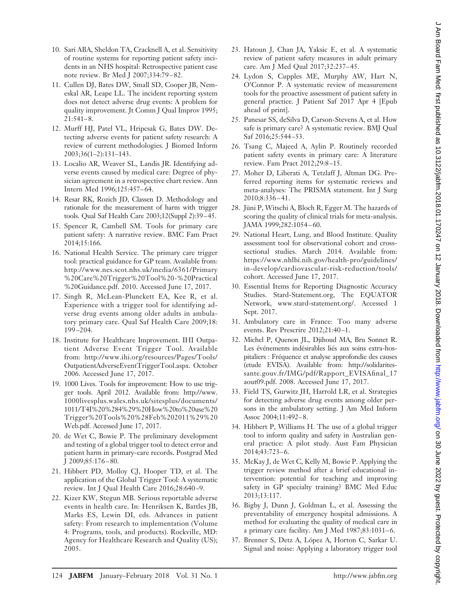- 10. Sari ABA, Sheldon TA, Cracknell A, et al. Sensitivity of routine systems for reporting patient safety incidents in an NHS hospital: Retrospective patient case note review. Br Med J 2007;334:79 – 82.
- 11. Cullen DJ, Bates DW, Small SD, Cooper JB, Nemeskal AR, Leape LL. The incident reporting system does not detect adverse drug events: A problem for quality improvement. Jt Comm J Qual Improv 1995; 21:541– 8.
- 12. Murff HJ, Patel VL, Hripcsak G, Bates DW. Detecting adverse events for patient safety research: A review of current methodologies. J Biomed Inform 2003;36(1–2):131–143.
- 13. Localio AR, Weaver SL, Landis JR. Identifying adverse events caused by medical care: Degree of physician agreement in a retrospective chart review. Ann Intern Med 1996;125:457– 64.
- 14. Resar RK, Rozich JD, Classen D. Methodology and rationale for the measurement of harm with trigger tools. Qual Saf Health Care 2003;12(Suppl 2):39 –45.
- 15. Spencer R, Cambell SM. Tools for primary care patient safety: A narrative review. BMC Fam Pract 2014;15:166.
- 16. National Health Service. The primary care trigger tool: practical guidance for GP team. Available from: [http://www.nes.scot.nhs.uk/media/6361/Primary](http://www.nes.scot.nhs.uk/media/6361/Primary%20Care%20Trigger%20Tool%20-%20Practical%20Guidance.pdf) [%20Care%20Trigger%20Tool%20-%20Practical](http://www.nes.scot.nhs.uk/media/6361/Primary%20Care%20Trigger%20Tool%20-%20Practical%20Guidance.pdf) [%20Guidance.pdf.](http://www.nes.scot.nhs.uk/media/6361/Primary%20Care%20Trigger%20Tool%20-%20Practical%20Guidance.pdf) 2010. Accessed June 17, 2017.
- 17. Singh R, McLean-Plunckett EA, Kee R, et al. Experience with a trigger tool for identifying adverse drug events among older adults in ambulatory primary care. Qual Saf Health Care 2009;18: 199 –204.
- 18. Institute for Healthcare Improvement. IHI Outpatient Adverse Event Trigger Tool. Available from: http://www.ihi.org/resources/Pages/Tools/ OutpatientAdverseEventTriggerTool.aspx. October 2006. Accessed June 17, 2017.
- 19. 1000 Lives. Tools for improvement: How to use trigger tools. April 2012. Available from: [http://www.](http://www.1000livesplus.wales.nhs.uk/sitesplus/documents/1011/T4I%20%284%29%20How%20to%20use%20Trigger%20Tools%20%28Feb%202011%29%20Web.pdf) [1000livesplus.wales.nhs.uk/sitesplus/documents/](http://www.1000livesplus.wales.nhs.uk/sitesplus/documents/1011/T4I%20%284%29%20How%20to%20use%20Trigger%20Tools%20%28Feb%202011%29%20Web.pdf) [1011/T4I%20%284%29%20How%20to%20use%20](http://www.1000livesplus.wales.nhs.uk/sitesplus/documents/1011/T4I%20%284%29%20How%20to%20use%20Trigger%20Tools%20%28Feb%202011%29%20Web.pdf) [Trigger%20Tools%20%28Feb%202011%29%20](http://www.1000livesplus.wales.nhs.uk/sitesplus/documents/1011/T4I%20%284%29%20How%20to%20use%20Trigger%20Tools%20%28Feb%202011%29%20Web.pdf) [Web.pdf.](http://www.1000livesplus.wales.nhs.uk/sitesplus/documents/1011/T4I%20%284%29%20How%20to%20use%20Trigger%20Tools%20%28Feb%202011%29%20Web.pdf) Accessed June 17, 2017.
- 20. de Wet C, Bowie P. The preliminary development and testing of a global trigger tool to detect error and patient harm in primary-care records. Postgrad Med J 2009;85:176 – 80.
- 21. Hibbert PD, Molloy CJ, Hooper TD, et al. The application of the Global Trigger Tool: A systematic review. Int J Qual Health Care 2016;28:640 –9.
- 22. Kizer KW, Stegun MB. Serious reportable adverse events in health care. In: Henriksen K, Battles JB, Marks ES, Lewin DI, eds. Advances in patient safety: From research to implementation (Volume 4: Programs, tools, and products). Rockville, MD: Agency for Healthcare Research and Quality (US); 2005.
- 23. Hatoun J, Chan JA, Yaksic E, et al. A systematic review of patient safety measures in adult primary care. Am J Med Qual 2017;32:237– 45.
- 24. Lydon S, Cupples ME, Murphy AW, Hart N, O'Connor P. A systematic review of measurement tools for the proactive assessment of patient safety in general practice. J Patient Saf 2017 Apr 4 [Epub ahead of print].
- 25. Panesar SS, deSilva D, Carson-Stevens A, et al. How safe is primary care? A systematic review. BMJ Qual Saf 2016;25:544 –53.
- 26. Tsang C, Majeed A, Aylin P. Routinely recorded patient safety events in primary care: A literature review. Fam Pract 2012;29:8 –15.
- 27. Moher D, Liberati A, Tetzlaff J, Altman DG. Preferred reporting items for systematic reviews and meta-analyses: The PRISMA statement. Int J Surg 2010;8:336 – 41.
- 28. Jüni P, Witschi A, Bloch R, Egger M. The hazards of scoring the quality of clinical trials for meta-analysis. JAMA 1999;282:1054 – 60.
- 29. National Heart, Lung, and Blood Institute. Quality assessment tool for observational cohort and crosssectional studies. March 2014. Available from: [https://www.nhlbi.nih.gov/health-pro/guidelines/](https://www.nhlbi.nih.gov/health-pro/guidelines/in-develop/cardiovascular-risk-reduction/tools/cohort) [in-develop/cardiovascular-risk-reduction/tools/](https://www.nhlbi.nih.gov/health-pro/guidelines/in-develop/cardiovascular-risk-reduction/tools/cohort) [cohort.](https://www.nhlbi.nih.gov/health-pro/guidelines/in-develop/cardiovascular-risk-reduction/tools/cohort) Accessed June 17, 2017.
- 30. Essential Items for Reporting Diagnostic Accuracy Studies. Stard-Statement.org, The EQUATOR Network, [www.stard-statement.org/.](http://www.stard-statement.org/) Accessed 1 Sept. 2017.
- 31. Ambulatory care in France: Too many adverse events. Rev Prescrire 2012;21:40-1.
- 32. Michel P, Quenon JL, Djihoud MA, Bru Sonnet R. Les événements indésirables liés aux soins extra-hospitaliers : Fréquence et analyse approfondie des causes (etude EVISA). Available from: [http://solidarites](http://solidarites-sante.gouv.fr/IMG/pdf/Rapport_EVISAfinal_17aout09.pdf)[sante.gouv.fr/IMG/pdf/Rapport\\_EVISAfinal\\_17](http://solidarites-sante.gouv.fr/IMG/pdf/Rapport_EVISAfinal_17aout09.pdf) [aout09.pdf.](http://solidarites-sante.gouv.fr/IMG/pdf/Rapport_EVISAfinal_17aout09.pdf) 2008. Accessed June 17, 2017.
- 33. Field TS, Gurwitz JH, Harrold LR, et al. Strategies for detecting adverse drug events among older persons in the ambulatory setting. J Am Med Inform Assoc 2004;11:492-8.
- 34. Hibbert P, Williams H. The use of a global trigger tool to inform quality and safety in Australian general practice: A pilot study. Aust Fam Physician 2014;43:723– 6.
- 35. McKay J, de Wet C, Kelly M, Bowie P. Applying the trigger review method after a brief educational intervention: potential for teaching and improving safety in GP specialty training? BMC Med Educ 2013;13:117.
- 36. Bigby J, Dunn J, Goldman L, et al. Assessing the preventability of emergency hospital admissions. A method for evaluating the quality of medical care in a primary care facility. Am J Med 1987;83:1031-6.
- 37. Brenner S, Detz A, López A, Horton C, Sarkar U. Signal and noise: Applying a laboratory trigger tool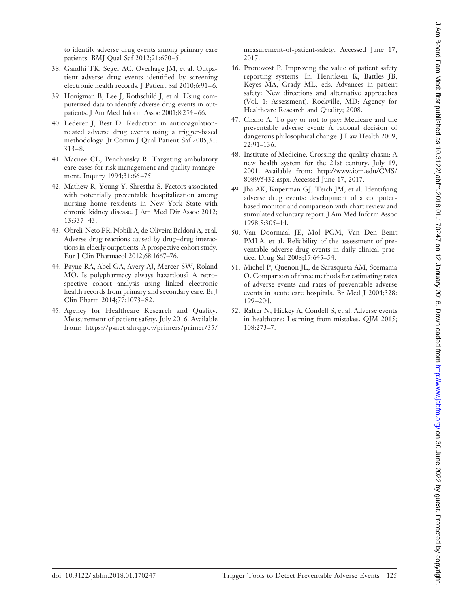to identify adverse drug events among primary care patients. BMJ Qual Saf 2012;21:670 –5.

- 38. Gandhi TK, Seger AC, Overhage JM, et al. Outpatient adverse drug events identified by screening electronic health records. J Patient Saf 2010;6:91-6.
- 39. Honigman B, Lee J, Rothschild J, et al. Using computerized data to identify adverse drug events in outpatients. J Am Med Inform Assoc 2001;8:254-66.
- 40. Lederer J, Best D. Reduction in anticoagulationrelated adverse drug events using a trigger-based methodology. Jt Comm J Qual Patient Saf 2005;31:  $313 - 8.$
- 41. Macnee CL, Penchansky R. Targeting ambulatory care cases for risk management and quality management. Inquiry 1994;31:66-75.
- 42. Mathew R, Young Y, Shrestha S. Factors associated with potentially preventable hospitalization among nursing home residents in New York State with chronic kidney disease. J Am Med Dir Assoc 2012; 13:337– 43.
- 43. Obreli-Neto PR, Nobili A, de Oliveira Baldoni A, et al. Adverse drug reactions caused by drug–drug interactions in elderly outpatients: A prospective cohort study. Eur J Clin Pharmacol 2012;68:1667–76.
- 44. Payne RA, Abel GA, Avery AJ, Mercer SW, Roland MO. Is polypharmacy always hazardous? A retrospective cohort analysis using linked electronic health records from primary and secondary care. Br J Clin Pharm 2014;77:1073– 82.
- 45. Agency for Healthcare Research and Quality. Measurement of patient safety. July 2016. Available from: https://psnet.ahrq.gov/primers/primer/35/

measurement-of-patient-safety. Accessed June 17, 2017.

- 46. Pronovost P. Improving the value of patient safety reporting systems. In: Henriksen K, Battles JB, Keyes MA, Grady ML, eds. Advances in patient safety: New directions and alternative approaches (Vol. 1: Assessment). Rockville, MD: Agency for Healthcare Research and Quality; 2008.
- 47. Chaho A. To pay or not to pay: Medicare and the preventable adverse event: A rational decision of dangerous philosophical change. J Law Health 2009; 22:91–136.
- 48. Institute of Medicine. Crossing the quality chasm: A new health system for the 21st century. July 19, 2001. Available from: [http://www.iom.edu/CMS/](http://www.iom.edu/CMS/8089/5432.aspx) [8089/5432.aspx.](http://www.iom.edu/CMS/8089/5432.aspx) Accessed June 17, 2017.
- 49. Jha AK, Kuperman GJ, Teich JM, et al. Identifying adverse drug events: development of a computerbased monitor and comparison with chart review and stimulated voluntary report. J Am Med Inform Assoc 1998;5:305–14.
- 50. Van Doormaal JE, Mol PGM, Van Den Bemt PMLA, et al. Reliability of the assessment of preventable adverse drug events in daily clinical practice. Drug Saf 2008;17:645–54.
- 51. Michel P, Quenon JL, de Sarasqueta AM, Scemama O. Comparison of three methods for estimating rates of adverse events and rates of preventable adverse events in acute care hospitals. Br Med J 2004;328: 199 –204.
- 52. Rafter N, Hickey A, Condell S, et al. Adverse events in healthcare: Learning from mistakes. QJM 2015; 108:273–7.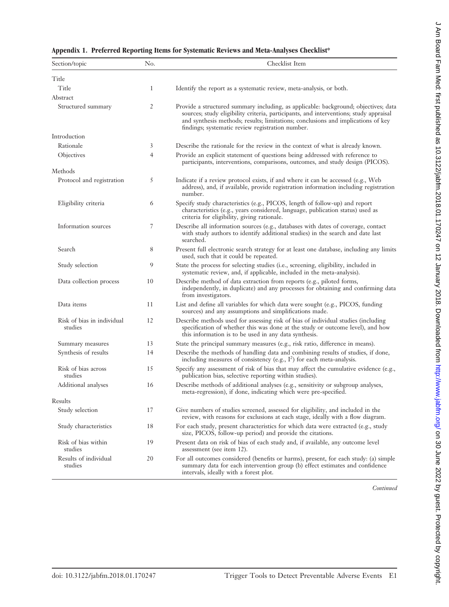| Section/topic                         | No.            | Checklist Item                                                                                                                                                                                                                                                                                                       |
|---------------------------------------|----------------|----------------------------------------------------------------------------------------------------------------------------------------------------------------------------------------------------------------------------------------------------------------------------------------------------------------------|
| Title                                 |                |                                                                                                                                                                                                                                                                                                                      |
| Title                                 | 1              | Identify the report as a systematic review, meta-analysis, or both.                                                                                                                                                                                                                                                  |
| Abstract                              |                |                                                                                                                                                                                                                                                                                                                      |
| Structured summary                    | 2              | Provide a structured summary including, as applicable: background; objectives; data<br>sources; study eligibility criteria, participants, and interventions; study appraisal<br>and synthesis methods; results; limitations; conclusions and implications of key<br>findings; systematic review registration number. |
| Introduction                          |                |                                                                                                                                                                                                                                                                                                                      |
| Rationale                             | 3              | Describe the rationale for the review in the context of what is already known.                                                                                                                                                                                                                                       |
| Objectives                            | $\overline{4}$ | Provide an explicit statement of questions being addressed with reference to<br>participants, interventions, comparisons, outcomes, and study design (PICOS).                                                                                                                                                        |
| Methods                               |                |                                                                                                                                                                                                                                                                                                                      |
| Protocol and registration             | 5              | Indicate if a review protocol exists, if and where it can be accessed (e.g., Web<br>address), and, if available, provide registration information including registration<br>number.                                                                                                                                  |
| Eligibility criteria                  | 6              | Specify study characteristics (e.g., PICOS, length of follow-up) and report<br>characteristics (e.g., years considered, language, publication status) used as<br>criteria for eligibility, giving rationale.                                                                                                         |
| Information sources                   | 7              | Describe all information sources (e.g., databases with dates of coverage, contact<br>with study authors to identify additional studies) in the search and date last<br>searched.                                                                                                                                     |
| Search                                | 8              | Present full electronic search strategy for at least one database, including any limits<br>used, such that it could be repeated.                                                                                                                                                                                     |
| Study selection                       | 9              | State the process for selecting studies (i.e., screening, eligibility, included in<br>systematic review, and, if applicable, included in the meta-analysis).                                                                                                                                                         |
| Data collection process               | 10             | Describe method of data extraction from reports (e.g., piloted forms,<br>independently, in duplicate) and any processes for obtaining and confirming data<br>from investigators.                                                                                                                                     |
| Data items                            | 11             | List and define all variables for which data were sought (e.g., PICOS, funding<br>sources) and any assumptions and simplifications made.                                                                                                                                                                             |
| Risk of bias in individual<br>studies | 12             | Describe methods used for assessing risk of bias of individual studies (including<br>specification of whether this was done at the study or outcome level), and how<br>this information is to be used in any data synthesis.                                                                                         |
| Summary measures                      | 13             | State the principal summary measures (e.g., risk ratio, difference in means).                                                                                                                                                                                                                                        |
| Synthesis of results                  | 14             | Describe the methods of handling data and combining results of studies, if done,<br>including measures of consistency (e.g., $I^2$ ) for each meta-analysis.                                                                                                                                                         |
| Risk of bias across<br>studies        | 15             | Specify any assessment of risk of bias that may affect the cumulative evidence (e.g.,<br>publication bias, selective reporting within studies).                                                                                                                                                                      |
| Additional analyses                   | 16             | Describe methods of additional analyses (e.g., sensitivity or subgroup analyses,<br>meta-regression), if done, indicating which were pre-specified.                                                                                                                                                                  |
| Results                               |                |                                                                                                                                                                                                                                                                                                                      |
| Study selection                       | 17             | Give numbers of studies screened, assessed for eligibility, and included in the<br>review, with reasons for exclusions at each stage, ideally with a flow diagram.                                                                                                                                                   |
| Study characteristics                 | 18             | For each study, present characteristics for which data were extracted (e.g., study<br>size, PICOS, follow-up period) and provide the citations.                                                                                                                                                                      |
| Risk of bias within<br>studies        | 19             | Present data on risk of bias of each study and, if available, any outcome level<br>assessment (see item 12).                                                                                                                                                                                                         |
| Results of individual<br>studies      | 20             | For all outcomes considered (benefits or harms), present, for each study: (a) simple<br>summary data for each intervention group (b) effect estimates and confidence<br>intervals, ideally with a forest plot.                                                                                                       |

**Appendix 1. Preferred Reporting Items for Systematic Reviews and Meta-Analyses Checklist\***

*Continued*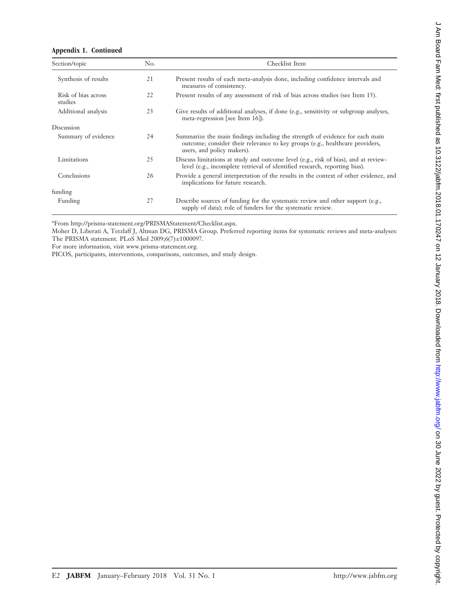#### **Appendix 1. Continued**

| Section/topic                  | No. | Checklist Item                                                                                                                                                                             |
|--------------------------------|-----|--------------------------------------------------------------------------------------------------------------------------------------------------------------------------------------------|
| Synthesis of results           | 21  | Present results of each meta-analysis done, including confidence intervals and<br>measures of consistency.                                                                                 |
| Risk of bias across<br>studies | 22  | Present results of any assessment of risk of bias across studies (see Item 15).                                                                                                            |
| Additional analysis            | 23  | Give results of additional analyses, if done (e.g., sensitivity or subgroup analyses,<br>meta-regression [see Item $16$ ]).                                                                |
| Discussion                     |     |                                                                                                                                                                                            |
| Summary of evidence            | 24  | Summarize the main findings including the strength of evidence for each main<br>outcome; consider their relevance to key groups (e.g., healthcare providers,<br>users, and policy makers). |
| Limitations                    | 25  | Discuss limitations at study and outcome level (e.g., risk of bias), and at review-<br>level (e.g., incomplete retrieval of identified research, reporting bias).                          |
| Conclusions                    | 26  | Provide a general interpretation of the results in the context of other evidence, and<br>implications for future research.                                                                 |
| funding                        |     |                                                                                                                                                                                            |
| Funding                        | 27  | Describe sources of funding for the systematic review and other support (e.g.,<br>supply of data); role of funders for the systematic review.                                              |

\*From [http://prisma-statement.org/PRISMAStatement/Checklist.aspx.](http://prisma-statement.org/PRISMAStatement/Checklist.aspx)

Moher D, Liberati A, Tetzlaff J, Altman DG, PRISMA Group. Preferred reporting items for systematic reviews and meta-analyses: The PRISMA statement. PLoS Med 2009;6(7):e1000097.

For more information, visit [www.prisma-statement.org.](http://www.prisma-statement.org)

PICOS, participants, interventions, comparisons, outcomes, and study design.